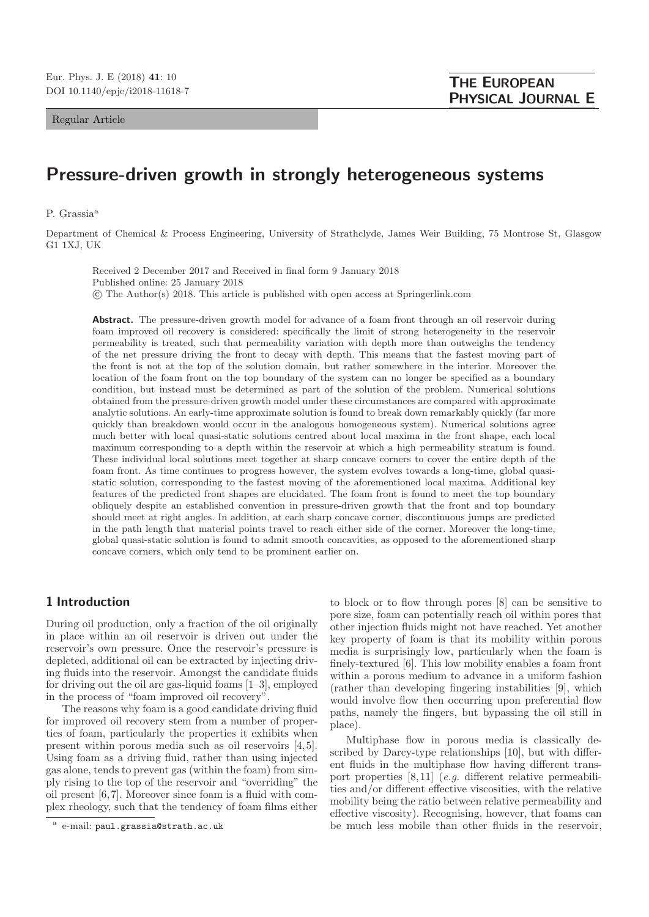Regular Article

# Pressure-driven growth in strongly heterogeneous systems

#### P. Grassia<sup>a</sup>

Department of Chemical & Process Engineering, University of Strathclyde, James Weir Building, 75 Montrose St, Glasgow G1 1XJ, UK

Received 2 December 2017 and Received in final form 9 January 2018 Published online: 25 January 2018 -c The Author(s) 2018. This article is published with open access at Springerlink.com

Abstract. The pressure-driven growth model for advance of a foam front through an oil reservoir during foam improved oil recovery is considered: specifically the limit of strong heterogeneity in the reservoir permeability is treated, such that permeability variation with depth more than outweighs the tendency of the net pressure driving the front to decay with depth. This means that the fastest moving part of the front is not at the top of the solution domain, but rather somewhere in the interior. Moreover the location of the foam front on the top boundary of the system can no longer be specified as a boundary condition, but instead must be determined as part of the solution of the problem. Numerical solutions obtained from the pressure-driven growth model under these circumstances are compared with approximate analytic solutions. An early-time approximate solution is found to break down remarkably quickly (far more quickly than breakdown would occur in the analogous homogeneous system). Numerical solutions agree much better with local quasi-static solutions centred about local maxima in the front shape, each local maximum corresponding to a depth within the reservoir at which a high permeability stratum is found. These individual local solutions meet together at sharp concave corners to cover the entire depth of the foam front. As time continues to progress however, the system evolves towards a long-time, global quasistatic solution, corresponding to the fastest moving of the aforementioned local maxima. Additional key features of the predicted front shapes are elucidated. The foam front is found to meet the top boundary obliquely despite an established convention in pressure-driven growth that the front and top boundary should meet at right angles. In addition, at each sharp concave corner, discontinuous jumps are predicted in the path length that material points travel to reach either side of the corner. Moreover the long-time, global quasi-static solution is found to admit smooth concavities, as opposed to the aforementioned sharp concave corners, which only tend to be prominent earlier on.

# 1 Introduction

During oil production, only a fraction of the oil originally in place within an oil reservoir is driven out under the reservoir's own pressure. Once the reservoir's pressure is depleted, additional oil can be extracted by injecting driving fluids into the reservoir. Amongst the candidate fluids for driving out the oil are gas-liquid foams [1–3], employed in the process of "foam improved oil recovery".

The reasons why foam is a good candidate driving fluid for improved oil recovery stem from a number of properties of foam, particularly the properties it exhibits when present within porous media such as oil reservoirs [4, 5]. Using foam as a driving fluid, rather than using injected gas alone, tends to prevent gas (within the foam) from simply rising to the top of the reservoir and "overriding" the oil present [6, 7]. Moreover since foam is a fluid with complex rheology, such that the tendency of foam films either

to block or to flow through pores [8] can be sensitive to pore size, foam can potentially reach oil within pores that other injection fluids might not have reached. Yet another key property of foam is that its mobility within porous media is surprisingly low, particularly when the foam is finely-textured [6]. This low mobility enables a foam front within a porous medium to advance in a uniform fashion (rather than developing fingering instabilities [9], which would involve flow then occurring upon preferential flow paths, namely the fingers, but bypassing the oil still in place).

Multiphase flow in porous media is classically described by Darcy-type relationships [10], but with different fluids in the multiphase flow having different transport properties [8, 11] (e.g. different relative permeabilities and/or different effective viscosities, with the relative mobility being the ratio between relative permeability and effective viscosity). Recognising, however, that foams can be much less mobile than other fluids in the reservoir,

a e-mail: paul.grassia@strath.ac.uk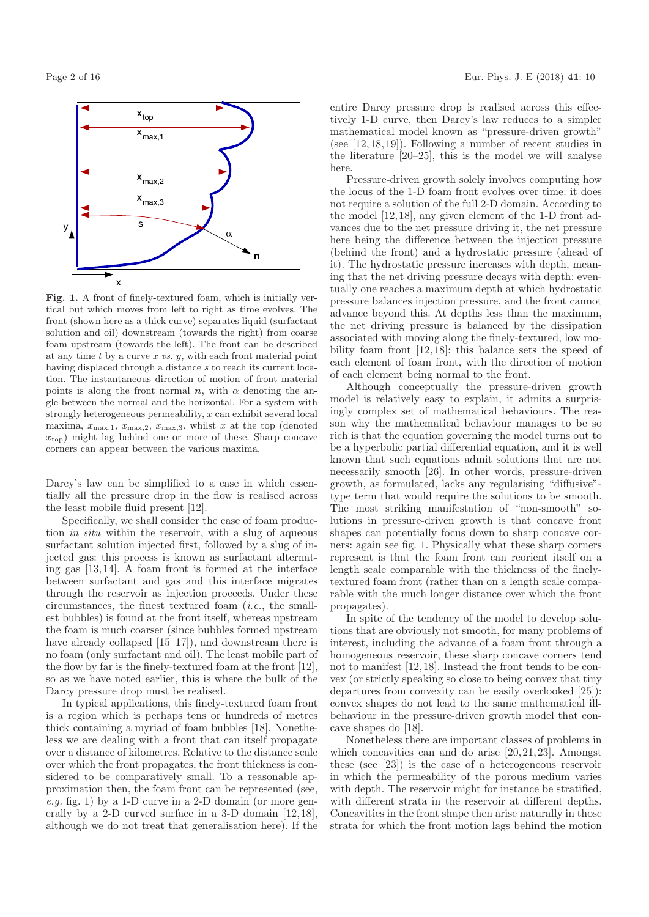

Fig. 1. A front of finely-textured foam, which is initially vertical but which moves from left to right as time evolves. The front (shown here as a thick curve) separates liquid (surfactant solution and oil) downstream (towards the right) from coarse foam upstream (towards the left). The front can be described at any time  $t$  by a curve  $x$  vs.  $y$ , with each front material point having displaced through a distance s to reach its current location. The instantaneous direction of motion of front material points is along the front normal  $n$ , with  $\alpha$  denoting the angle between the normal and the horizontal. For a system with strongly heterogeneous permeability,  $x$  can exhibit several local maxima,  $x_{\text{max},1}$ ,  $x_{\text{max},2}$ ,  $x_{\text{max},3}$ , whilst x at the top (denoted  $x<sub>top</sub>$ ) might lag behind one or more of these. Sharp concave corners can appear between the various maxima.

Darcy's law can be simplified to a case in which essentially all the pressure drop in the flow is realised across the least mobile fluid present [12].

Specifically, we shall consider the case of foam production in situ within the reservoir, with a slug of aqueous surfactant solution injected first, followed by a slug of injected gas: this process is known as surfactant alternating gas [13, 14]. A foam front is formed at the interface between surfactant and gas and this interface migrates through the reservoir as injection proceeds. Under these circumstances, the finest textured foam (i.e., the smallest bubbles) is found at the front itself, whereas upstream the foam is much coarser (since bubbles formed upstream have already collapsed  $[15-17]$ , and downstream there is no foam (only surfactant and oil). The least mobile part of the flow by far is the finely-textured foam at the front [12], so as we have noted earlier, this is where the bulk of the Darcy pressure drop must be realised.

In typical applications, this finely-textured foam front is a region which is perhaps tens or hundreds of metres thick containing a myriad of foam bubbles [18]. Nonetheless we are dealing with a front that can itself propagate over a distance of kilometres. Relative to the distance scale over which the front propagates, the front thickness is considered to be comparatively small. To a reasonable approximation then, the foam front can be represented (see, e.g. fig. 1) by a 1-D curve in a 2-D domain (or more generally by a 2-D curved surface in a 3-D domain [12, 18], although we do not treat that generalisation here). If the entire Darcy pressure drop is realised across this effectively 1-D curve, then Darcy's law reduces to a simpler mathematical model known as "pressure-driven growth" (see [12, 18, 19]). Following a number of recent studies in the literature [20–25], this is the model we will analyse here.

Pressure-driven growth solely involves computing how the locus of the 1-D foam front evolves over time: it does not require a solution of the full 2-D domain. According to the model [12, 18], any given element of the 1-D front advances due to the net pressure driving it, the net pressure here being the difference between the injection pressure (behind the front) and a hydrostatic pressure (ahead of it). The hydrostatic pressure increases with depth, meaning that the net driving pressure decays with depth: eventually one reaches a maximum depth at which hydrostatic pressure balances injection pressure, and the front cannot advance beyond this. At depths less than the maximum, the net driving pressure is balanced by the dissipation associated with moving along the finely-textured, low mobility foam front [12, 18]: this balance sets the speed of each element of foam front, with the direction of motion of each element being normal to the front.

Although conceptually the pressure-driven growth model is relatively easy to explain, it admits a surprisingly complex set of mathematical behaviours. The reason why the mathematical behaviour manages to be so rich is that the equation governing the model turns out to be a hyperbolic partial differential equation, and it is well known that such equations admit solutions that are not necessarily smooth [26]. In other words, pressure-driven growth, as formulated, lacks any regularising "diffusive" type term that would require the solutions to be smooth. The most striking manifestation of "non-smooth" solutions in pressure-driven growth is that concave front shapes can potentially focus down to sharp concave corners: again see fig. 1. Physically what these sharp corners represent is that the foam front can reorient itself on a length scale comparable with the thickness of the finelytextured foam front (rather than on a length scale comparable with the much longer distance over which the front propagates).

In spite of the tendency of the model to develop solutions that are obviously not smooth, for many problems of interest, including the advance of a foam front through a homogeneous reservoir, these sharp concave corners tend not to manifest [12, 18]. Instead the front tends to be convex (or strictly speaking so close to being convex that tiny departures from convexity can be easily overlooked [25]): convex shapes do not lead to the same mathematical illbehaviour in the pressure-driven growth model that concave shapes do [18].

Nonetheless there are important classes of problems in which concavities can and do arise [20, 21, 23]. Amongst these (see [23]) is the case of a heterogeneous reservoir in which the permeability of the porous medium varies with depth. The reservoir might for instance be stratified, with different strata in the reservoir at different depths. Concavities in the front shape then arise naturally in those strata for which the front motion lags behind the motion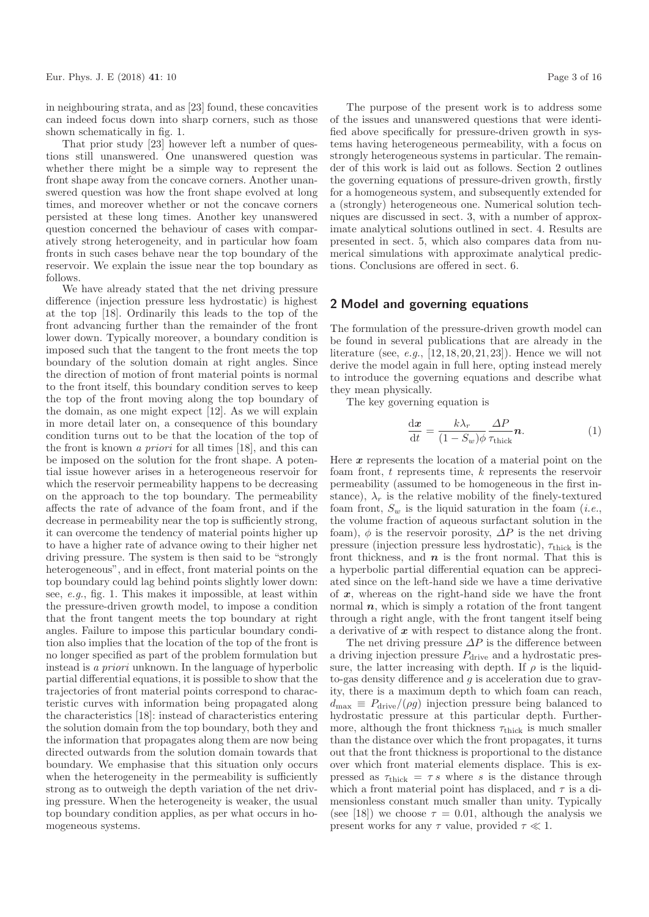in neighbouring strata, and as [23] found, these concavities can indeed focus down into sharp corners, such as those shown schematically in fig. 1.

That prior study [23] however left a number of questions still unanswered. One unanswered question was whether there might be a simple way to represent the front shape away from the concave corners. Another unanswered question was how the front shape evolved at long times, and moreover whether or not the concave corners persisted at these long times. Another key unanswered question concerned the behaviour of cases with comparatively strong heterogeneity, and in particular how foam fronts in such cases behave near the top boundary of the reservoir. We explain the issue near the top boundary as follows.

We have already stated that the net driving pressure difference (injection pressure less hydrostatic) is highest at the top [18]. Ordinarily this leads to the top of the front advancing further than the remainder of the front lower down. Typically moreover, a boundary condition is imposed such that the tangent to the front meets the top boundary of the solution domain at right angles. Since the direction of motion of front material points is normal to the front itself, this boundary condition serves to keep the top of the front moving along the top boundary of the domain, as one might expect [12]. As we will explain in more detail later on, a consequence of this boundary condition turns out to be that the location of the top of the front is known a priori for all times [18], and this can be imposed on the solution for the front shape. A potential issue however arises in a heterogeneous reservoir for which the reservoir permeability happens to be decreasing on the approach to the top boundary. The permeability affects the rate of advance of the foam front, and if the decrease in permeability near the top is sufficiently strong, it can overcome the tendency of material points higher up to have a higher rate of advance owing to their higher net driving pressure. The system is then said to be "strongly heterogeneous", and in effect, front material points on the top boundary could lag behind points slightly lower down: see, e.g., fig. 1. This makes it impossible, at least within the pressure-driven growth model, to impose a condition that the front tangent meets the top boundary at right angles. Failure to impose this particular boundary condition also implies that the location of the top of the front is no longer specified as part of the problem formulation but instead is a priori unknown. In the language of hyperbolic partial differential equations, it is possible to show that the trajectories of front material points correspond to characteristic curves with information being propagated along the characteristics [18]: instead of characteristics entering the solution domain from the top boundary, both they and the information that propagates along them are now being directed outwards from the solution domain towards that boundary. We emphasise that this situation only occurs when the heterogeneity in the permeability is sufficiently strong as to outweigh the depth variation of the net driving pressure. When the heterogeneity is weaker, the usual top boundary condition applies, as per what occurs in homogeneous systems.

The purpose of the present work is to address some of the issues and unanswered questions that were identified above specifically for pressure-driven growth in systems having heterogeneous permeability, with a focus on strongly heterogeneous systems in particular. The remainder of this work is laid out as follows. Section 2 outlines the governing equations of pressure-driven growth, firstly for a homogeneous system, and subsequently extended for a (strongly) heterogeneous one. Numerical solution techniques are discussed in sect. 3, with a number of approximate analytical solutions outlined in sect. 4. Results are presented in sect. 5, which also compares data from numerical simulations with approximate analytical predictions. Conclusions are offered in sect. 6.

# 2 Model and governing equations

The formulation of the pressure-driven growth model can be found in several publications that are already in the literature (see, e.g.,  $[12, 18, 20, 21, 23]$ ). Hence we will not derive the model again in full here, opting instead merely to introduce the governing equations and describe what they mean physically.

The key governing equation is

$$
\frac{\mathrm{d}\boldsymbol{x}}{\mathrm{d}t} = \frac{k\lambda_r}{(1 - S_w)\phi} \frac{\Delta P}{\tau_{\text{thick}}} \boldsymbol{n}.\tag{1}
$$

Here  $x$  represents the location of a material point on the foam front, t represents time, k represents the reservoir permeability (assumed to be homogeneous in the first instance),  $\lambda_r$  is the relative mobility of the finely-textured foam front,  $S_w$  is the liquid saturation in the foam (*i.e.*, the volume fraction of aqueous surfactant solution in the foam),  $\phi$  is the reservoir porosity,  $\Delta P$  is the net driving pressure (injection pressure less hydrostatic),  $\tau_{\text{thick}}$  is the front thickness, and  $n$  is the front normal. That this is a hyperbolic partial differential equation can be appreciated since on the left-hand side we have a time derivative of  $x$ , whereas on the right-hand side we have the front normal  $n$ , which is simply a rotation of the front tangent through a right angle, with the front tangent itself being a derivative of  $x$  with respect to distance along the front.

The net driving pressure  $\Delta P$  is the difference between a driving injection pressure  $P_{\text{drive}}$  and a hydrostatic pressure, the latter increasing with depth. If  $\rho$  is the liquidto-gas density difference and  $g$  is acceleration due to gravity, there is a maximum depth to which foam can reach,  $d_{\text{max}} \equiv P_{\text{drive}}/(\rho g)$  injection pressure being balanced to hydrostatic pressure at this particular depth. Furthermore, although the front thickness  $\tau_{\text{thick}}$  is much smaller than the distance over which the front propagates, it turns out that the front thickness is proportional to the distance over which front material elements displace. This is expressed as  $\tau_{\text{thick}} = \tau s$  where s is the distance through which a front material point has displaced, and  $\tau$  is a dimensionless constant much smaller than unity. Typically (see [18]) we choose  $\tau = 0.01$ , although the analysis we present works for any  $\tau$  value, provided  $\tau \ll 1$ .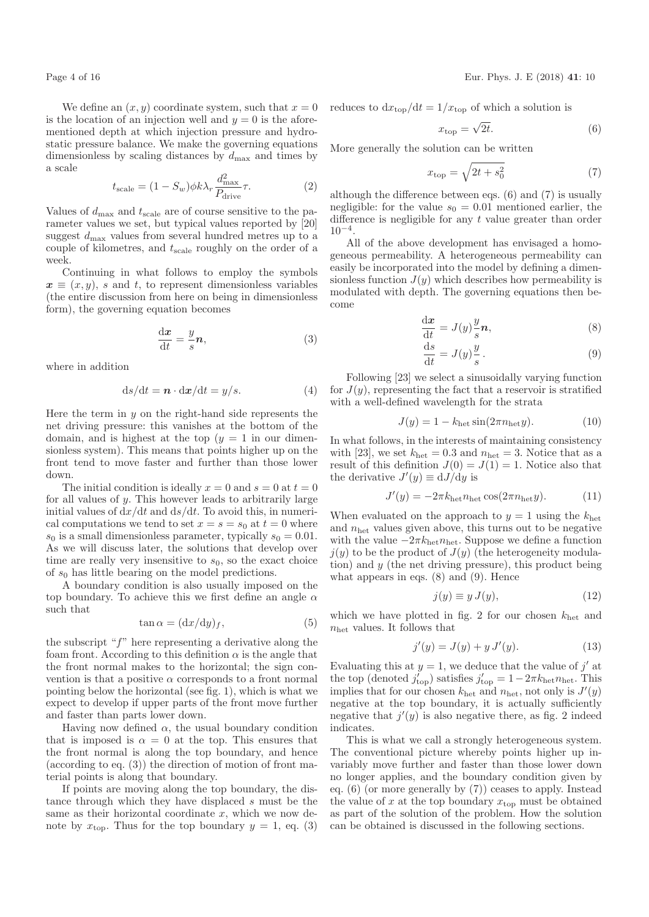We define an  $(x, y)$  coordinate system, such that  $x = 0$ is the location of an injection well and  $y = 0$  is the aforementioned depth at which injection pressure and hydrostatic pressure balance. We make the governing equations dimensionless by scaling distances by  $d_{\text{max}}$  and times by a scale

$$
t_{\text{scale}} = (1 - S_w) \phi k \lambda_r \frac{d_{\text{max}}^2}{P_{\text{drive}}} \tau. \tag{2}
$$

Values of  $d_{\text{max}}$  and  $t_{\text{scale}}$  are of course sensitive to the parameter values we set, but typical values reported by [20] suggest  $d_{\text{max}}$  values from several hundred metres up to a couple of kilometres, and  $t_{scale}$  roughly on the order of a week.

Continuing in what follows to employ the symbols  $x \equiv (x, y)$ , s and t, to represent dimensionless variables (the entire discussion from here on being in dimensionless form), the governing equation becomes

$$
\frac{\mathrm{d}x}{\mathrm{d}t} = \frac{y}{s}\boldsymbol{n},\tag{3}
$$

where in addition

$$
ds/dt = \mathbf{n} \cdot dx/dt = y/s.
$$
 (4)

Here the term in  $y$  on the right-hand side represents the net driving pressure: this vanishes at the bottom of the domain, and is highest at the top  $(y = 1$  in our dimensionless system). This means that points higher up on the front tend to move faster and further than those lower down.

The initial condition is ideally  $x = 0$  and  $s = 0$  at  $t = 0$ for all values of y. This however leads to arbitrarily large initial values of  $dx/dt$  and  $ds/dt$ . To avoid this, in numerical computations we tend to set  $x = s = s_0$  at  $t = 0$  where  $s_0$  is a small dimensionless parameter, typically  $s_0 = 0.01$ . As we will discuss later, the solutions that develop over time are really very insensitive to  $s_0$ , so the exact choice of  $s_0$  has little bearing on the model predictions.

A boundary condition is also usually imposed on the top boundary. To achieve this we first define an angle  $\alpha$ such that

$$
\tan \alpha = (\mathrm{d}x/\mathrm{d}y)_f,\tag{5}
$$

the subscript "f" here representing a derivative along the foam front. According to this definition  $\alpha$  is the angle that the front normal makes to the horizontal; the sign convention is that a positive  $\alpha$  corresponds to a front normal pointing below the horizontal (see fig. 1), which is what we expect to develop if upper parts of the front move further and faster than parts lower down.

Having now defined  $\alpha$ , the usual boundary condition that is imposed is  $\alpha = 0$  at the top. This ensures that the front normal is along the top boundary, and hence (according to eq.  $(3)$ ) the direction of motion of front material points is along that boundary.

If points are moving along the top boundary, the distance through which they have displaced s must be the same as their horizontal coordinate  $x$ , which we now denote by  $x_{top}$ . Thus for the top boundary  $y = 1$ , eq. (3) reduces to  $dx_{top}/dt = 1/x_{top}$  of which a solution is

$$
x_{\rm top} = \sqrt{2t}.\tag{6}
$$

More generally the solution can be written

$$
x_{\rm top} = \sqrt{2t + s_0^2} \tag{7}
$$

although the difference between eqs. (6) and (7) is usually negligible: for the value  $s_0 = 0.01$  mentioned earlier, the difference is negligible for any t value greater than order  $10^{-4}$ .

All of the above development has envisaged a homogeneous permeability. A heterogeneous permeability can easily be incorporated into the model by defining a dimensionless function  $J(y)$  which describes how permeability is modulated with depth. The governing equations then become

$$
\frac{\mathrm{d}x}{\mathrm{d}t} = J(y)\frac{y}{s}\boldsymbol{n},\tag{8}
$$

$$
\frac{\mathrm{d}s}{\mathrm{d}t} = J(y)\frac{y}{s}.\tag{9}
$$

Following [23] we select a sinusoidally varying function for  $J(y)$ , representing the fact that a reservoir is stratified with a well-defined wavelength for the strata

$$
J(y) = 1 - k_{\text{het}} \sin(2\pi n_{\text{het}} y). \tag{10}
$$

In what follows, in the interests of maintaining consistency with [23], we set  $k_{\text{het}} = 0.3$  and  $n_{\text{het}} = 3$ . Notice that as a result of this definition  $J(0) = J(1) = 1$ . Notice also that the derivative  $J'(y) \equiv dJ/dy$  is

$$
J'(y) = -2\pi k_{\text{het}} n_{\text{het}} \cos(2\pi n_{\text{het}} y). \tag{11}
$$

When evaluated on the approach to  $y = 1$  using the  $k_{\text{het}}$ and  $n_{\text{het}}$  values given above, this turns out to be negative with the value  $-2\pi k_{\text{het}} n_{\text{het}}$ . Suppose we define a function  $j(y)$  to be the product of  $J(y)$  (the heterogeneity modulation) and  $y$  (the net driving pressure), this product being what appears in eqs. (8) and (9). Hence

$$
j(y) \equiv y \, J(y),\tag{12}
$$

which we have plotted in fig. 2 for our chosen  $k_{\text{het}}$  and  $n_{\text{het}}$  values. It follows that

$$
j'(y) = J(y) + y J'(y).
$$
 (13)

Evaluating this at  $y = 1$ , we deduce that the value of j' at the top (denoted  $j'_{\text{top}}$ ) satisfies  $j'_{\text{top}} = 1 - 2\pi k_{\text{het}} n_{\text{het}}$ . This implies that for our chosen  $k_{\text{het}}$  and  $n_{\text{het}}$ , not only is  $J'(y)$ negative at the top boundary, it is actually sufficiently negative that  $j'(y)$  is also negative there, as fig. 2 indeed indicates.

This is what we call a strongly heterogeneous system. The conventional picture whereby points higher up invariably move further and faster than those lower down no longer applies, and the boundary condition given by eq. (6) (or more generally by (7)) ceases to apply. Instead the value of x at the top boundary  $x_{top}$  must be obtained as part of the solution of the problem. How the solution can be obtained is discussed in the following sections.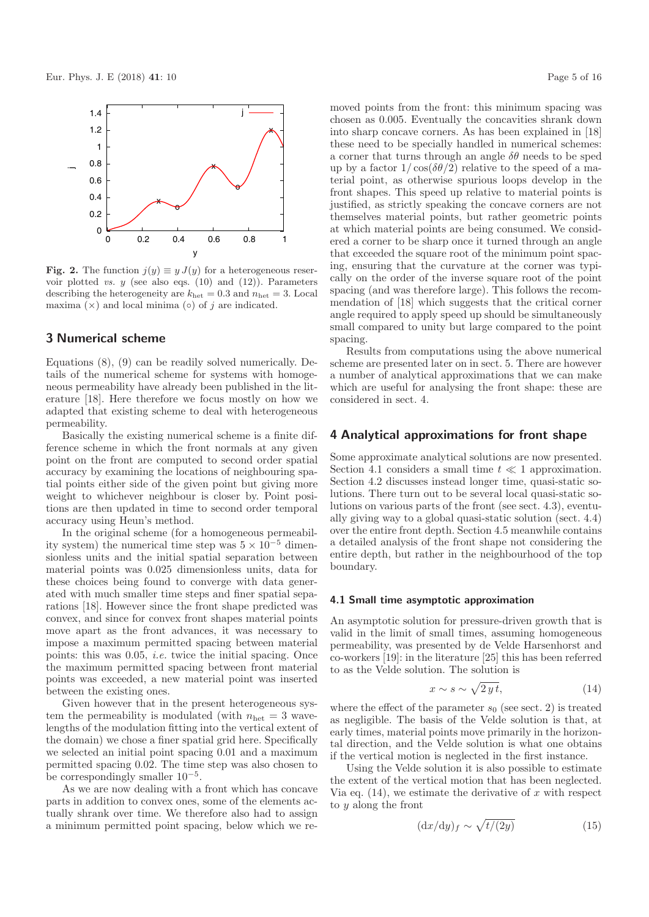

Fig. 2. The function  $j(y) \equiv y J(y)$  for a heterogeneous reservoir plotted *vs.*  $y$  (see also eqs. (10) and (12)). Parameters describing the heterogeneity are  $k_{\text{het}} = 0.3$  and  $n_{\text{het}} = 3$ . Local maxima  $(\times)$  and local minima  $(\circ)$  of j are indicated.

# 3 Numerical scheme

Equations (8), (9) can be readily solved numerically. Details of the numerical scheme for systems with homogeneous permeability have already been published in the literature [18]. Here therefore we focus mostly on how we adapted that existing scheme to deal with heterogeneous permeability.

Basically the existing numerical scheme is a finite difference scheme in which the front normals at any given point on the front are computed to second order spatial accuracy by examining the locations of neighbouring spatial points either side of the given point but giving more weight to whichever neighbour is closer by. Point positions are then updated in time to second order temporal accuracy using Heun's method.

In the original scheme (for a homogeneous permeability system) the numerical time step was  $5 \times 10^{-5}$  dimensionless units and the initial spatial separation between material points was 0.025 dimensionless units, data for these choices being found to converge with data generated with much smaller time steps and finer spatial separations [18]. However since the front shape predicted was convex, and since for convex front shapes material points move apart as the front advances, it was necessary to impose a maximum permitted spacing between material points: this was 0.05, i.e. twice the initial spacing. Once the maximum permitted spacing between front material points was exceeded, a new material point was inserted between the existing ones.

Given however that in the present heterogeneous system the permeability is modulated (with  $n_{\text{het}} = 3$  wavelengths of the modulation fitting into the vertical extent of the domain) we chose a finer spatial grid here. Specifically we selected an initial point spacing 0.01 and a maximum permitted spacing 0.02. The time step was also chosen to be correspondingly smaller  $10^{-5}$ .

As we are now dealing with a front which has concave parts in addition to convex ones, some of the elements actually shrank over time. We therefore also had to assign a minimum permitted point spacing, below which we removed points from the front: this minimum spacing was chosen as 0.005. Eventually the concavities shrank down into sharp concave corners. As has been explained in [18] these need to be specially handled in numerical schemes: a corner that turns through an angle  $\delta\theta$  needs to be sped up by a factor  $1/\cos(\delta\theta/2)$  relative to the speed of a material point, as otherwise spurious loops develop in the front shapes. This speed up relative to material points is justified, as strictly speaking the concave corners are not

themselves material points, but rather geometric points at which material points are being consumed. We considered a corner to be sharp once it turned through an angle that exceeded the square root of the minimum point spacing, ensuring that the curvature at the corner was typically on the order of the inverse square root of the point spacing (and was therefore large). This follows the recommendation of [18] which suggests that the critical corner angle required to apply speed up should be simultaneously small compared to unity but large compared to the point spacing.

Results from computations using the above numerical scheme are presented later on in sect. 5. There are however a number of analytical approximations that we can make which are useful for analysing the front shape: these are considered in sect. 4.

# 4 Analytical approximations for front shape

Some approximate analytical solutions are now presented. Section 4.1 considers a small time  $t \ll 1$  approximation. Section 4.2 discusses instead longer time, quasi-static solutions. There turn out to be several local quasi-static solutions on various parts of the front (see sect. 4.3), eventually giving way to a global quasi-static solution (sect. 4.4) over the entire front depth. Section 4.5 meanwhile contains a detailed analysis of the front shape not considering the entire depth, but rather in the neighbourhood of the top boundary.

## 4.1 Small time asymptotic approximation

An asymptotic solution for pressure-driven growth that is valid in the limit of small times, assuming homogeneous permeability, was presented by de Velde Harsenhorst and co-workers [19]: in the literature [25] this has been referred to as the Velde solution. The solution is

$$
x \sim s \sim \sqrt{2 \, y \, t},\tag{14}
$$

where the effect of the parameter  $s_0$  (see sect. 2) is treated as negligible. The basis of the Velde solution is that, at early times, material points move primarily in the horizontal direction, and the Velde solution is what one obtains if the vertical motion is neglected in the first instance.

Using the Velde solution it is also possible to estimate the extent of the vertical motion that has been neglected. Via eq.  $(14)$ , we estimate the derivative of x with respect to y along the front

$$
(\mathrm{d}x/\mathrm{d}y)_f \sim \sqrt{t/(2y)}\tag{15}
$$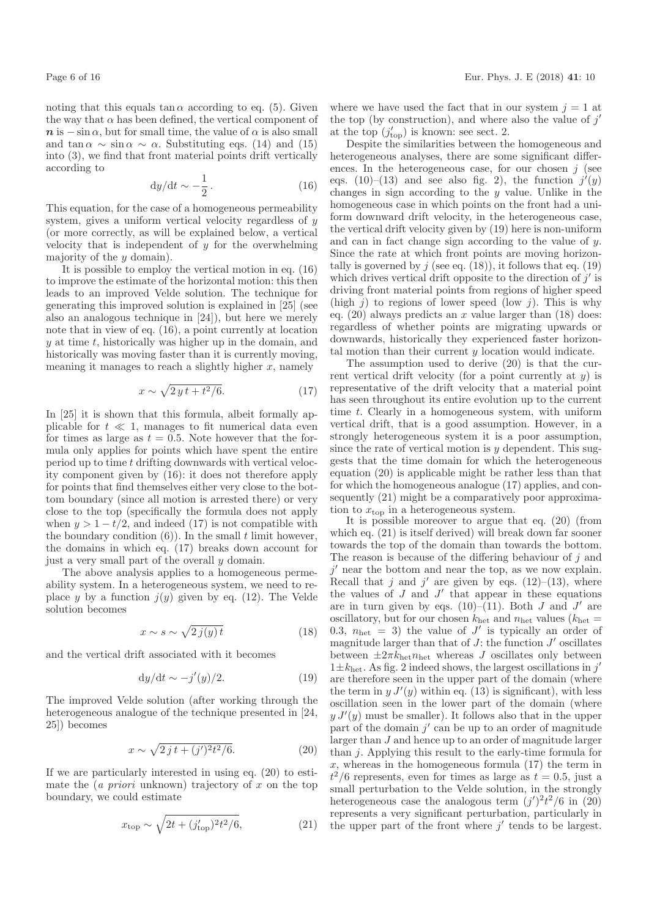noting that this equals tan  $\alpha$  according to eq. (5). Given the way that  $\alpha$  has been defined, the vertical component of  $n \text{ is } -\sin \alpha$ , but for small time, the value of  $\alpha$  is also small and tan  $\alpha \sim \sin \alpha \sim \alpha$ . Substituting eqs. (14) and (15) into (3), we find that front material points drift vertically according to

$$
dy/dt \sim -\frac{1}{2} \,. \tag{16}
$$

This equation, for the case of a homogeneous permeability system, gives a uniform vertical velocity regardless of y (or more correctly, as will be explained below, a vertical velocity that is independent of  $y$  for the overwhelming majority of the  $y$  domain).

It is possible to employ the vertical motion in eq. (16) to improve the estimate of the horizontal motion: this then leads to an improved Velde solution. The technique for generating this improved solution is explained in [25] (see also an analogous technique in [24]), but here we merely note that in view of eq. (16), a point currently at location  $y$  at time  $t$ , historically was higher up in the domain, and historically was moving faster than it is currently moving, meaning it manages to reach a slightly higher  $x$ , namely

$$
x \sim \sqrt{2\,y\,t + t^2/6}.\tag{17}
$$

In [25] it is shown that this formula, albeit formally applicable for  $t \ll 1$ , manages to fit numerical data even for times as large as  $t = 0.5$ . Note however that the formula only applies for points which have spent the entire period up to time t drifting downwards with vertical velocity component given by (16): it does not therefore apply for points that find themselves either very close to the bottom boundary (since all motion is arrested there) or very close to the top (specifically the formula does not apply when  $y > 1 - t/2$ , and indeed (17) is not compatible with the boundary condition  $(6)$ ). In the small t limit however, the domains in which eq. (17) breaks down account for just a very small part of the overall y domain.

The above analysis applies to a homogeneous permeability system. In a heterogeneous system, we need to replace y by a function  $j(y)$  given by eq. (12). The Velde solution becomes

$$
x \sim s \sim \sqrt{2j(y)t} \tag{18}
$$

and the vertical drift associated with it becomes

$$
dy/dt \sim -j'(y)/2.
$$
 (19)

The improved Velde solution (after working through the heterogeneous analogue of the technique presented in [24, 25]) becomes

$$
x \sim \sqrt{2j t + (j')^2 t^2 / 6}.
$$
 (20)

If we are particularly interested in using eq. (20) to estimate the  $(a \, priori \, unknown)$  trajectory of x on the top boundary, we could estimate

$$
x_{\rm top} \sim \sqrt{2t + (j'_{\rm top})^2 t^2 / 6},\tag{21}
$$

where we have used the fact that in our system  $j = 1$  at the top (by construction), and where also the value of  $j'$ at the top  $(j'_{top})$  is known: see sect. 2.

Despite the similarities between the homogeneous and heterogeneous analyses, there are some significant differences. In the heterogeneous case, for our chosen  $i$  (see eqs. (10)–(13) and see also fig. 2), the function  $j'(y)$ changes in sign according to the y value. Unlike in the homogeneous case in which points on the front had a uniform downward drift velocity, in the heterogeneous case, the vertical drift velocity given by (19) here is non-uniform and can in fact change sign according to the value of y. Since the rate at which front points are moving horizontally is governed by j (see eq.  $(18)$ ), it follows that eq.  $(19)$ which drives vertical drift opposite to the direction of  $j'$  is driving front material points from regions of higher speed (high  $j$ ) to regions of lower speed (low  $j$ ). This is why eq.  $(20)$  always predicts an x value larger than  $(18)$  does: regardless of whether points are migrating upwards or downwards, historically they experienced faster horizontal motion than their current  $y$  location would indicate.

The assumption used to derive (20) is that the current vertical drift velocity (for a point currently at  $y$ ) is representative of the drift velocity that a material point has seen throughout its entire evolution up to the current time t. Clearly in a homogeneous system, with uniform vertical drift, that is a good assumption. However, in a strongly heterogeneous system it is a poor assumption, since the rate of vertical motion is  $y$  dependent. This suggests that the time domain for which the heterogeneous equation (20) is applicable might be rather less than that for which the homogeneous analogue (17) applies, and consequently (21) might be a comparatively poor approximation to  $x_{\text{top}}$  in a heterogeneous system.

It is possible moreover to argue that eq. (20) (from which eq. (21) is itself derived) will break down far sooner towards the top of the domain than towards the bottom. The reason is because of the differing behaviour of  $j$  and  $j'$  near the bottom and near the top, as we now explain. Recall that j and j' are given by eqs. (12)–(13), where the values of  $J$  and  $J'$  that appear in these equations are in turn given by eqs. (10)–(11). Both  $J$  and  $J'$  are oscillatory, but for our chosen  $k_{\text{het}}$  and  $n_{\text{het}}$  values ( $k_{\text{het}} =$ 0.3,  $n_{\text{het}} = 3$ ) the value of  $J'$  is typically an order of magnitude larger than that of  $J$ : the function  $J'$  oscillates between  $\pm 2\pi k_\text{het} n_\text{het}$  whereas J oscillates only between  $1 \pm k_{\text{het}}$ . As fig. 2 indeed shows, the largest oscillations in j' are therefore seen in the upper part of the domain (where the term in  $y J'(y)$  within eq. (13) is significant), with less oscillation seen in the lower part of the domain (where  $y J'(y)$  must be smaller). It follows also that in the upper part of the domain  $j'$  can be up to an order of magnitude larger than J and hence up to an order of magnitude larger than j. Applying this result to the early-time formula for  $x$ , whereas in the homogeneous formula  $(17)$  the term in  $t^2/6$  represents, even for times as large as  $t = 0.5$ , just a small perturbation to the Velde solution, in the strongly heterogeneous case the analogous term  $(j')^2t^2/6$  in  $(20)$ represents a very significant perturbation, particularly in the upper part of the front where  $j'$  tends to be largest.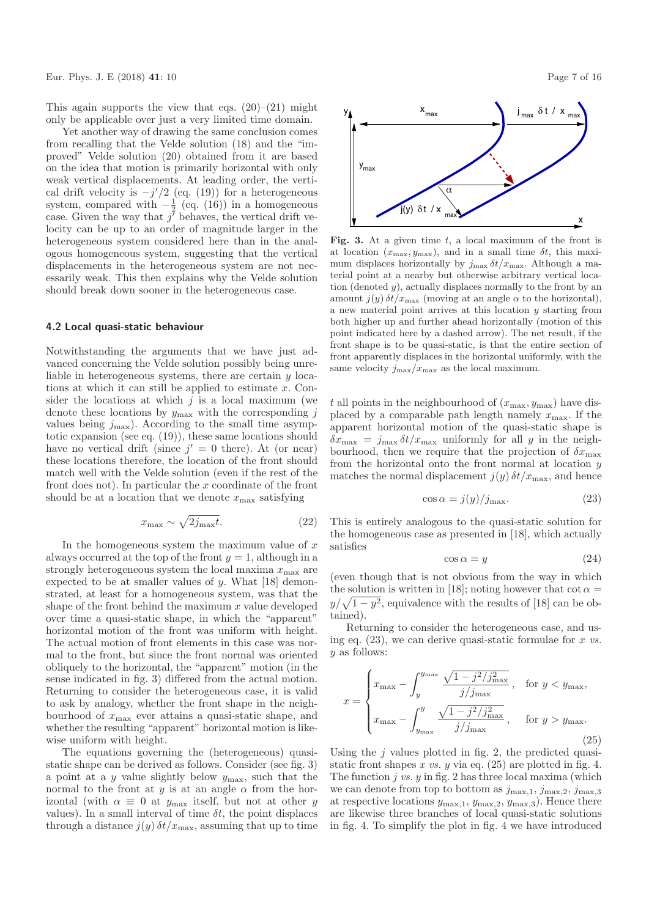Eur. Phys. J. E (2018) 41: 10 Page 7 of 16

This again supports the view that eqs.  $(20)$ – $(21)$  might only be applicable over just a very limited time domain.

Yet another way of drawing the same conclusion comes from recalling that the Velde solution (18) and the "improved" Velde solution (20) obtained from it are based on the idea that motion is primarily horizontal with only weak vertical displacements. At leading order, the vertical drift velocity is  $-j'/2$  (eq. (19)) for a heterogeneous system, compared with  $-\frac{1}{2}$  (eq. (16)) in a homogeneous case. Given the way that  $j^7$  behaves, the vertical drift velocity can be up to an order of magnitude larger in the heterogeneous system considered here than in the analogous homogeneous system, suggesting that the vertical displacements in the heterogeneous system are not necessarily weak. This then explains why the Velde solution should break down sooner in the heterogeneous case.

### 4.2 Local quasi-static behaviour

Notwithstanding the arguments that we have just advanced concerning the Velde solution possibly being unreliable in heterogeneous systems, there are certain  $y$  locations at which it can still be applied to estimate x. Consider the locations at which  $j$  is a local maximum (we denote these locations by  $y_{\text{max}}$  with the corresponding j values being  $j_{\text{max}}$ ). According to the small time asymptotic expansion (see eq. (19)), these same locations should have no vertical drift (since  $j' = 0$  there). At (or near) these locations therefore, the location of the front should match well with the Velde solution (even if the rest of the front does not). In particular the  $x$  coordinate of the front should be at a location that we denote  $x_{\text{max}}$  satisfying

$$
x_{\text{max}} \sim \sqrt{2j_{\text{max}}t}.\tag{22}
$$

In the homogeneous system the maximum value of  $x$ always occurred at the top of the front  $y = 1$ , although in a strongly heterogeneous system the local maxima  $x_{\text{max}}$  are expected to be at smaller values of y. What [18] demonstrated, at least for a homogeneous system, was that the shape of the front behind the maximum  $x$  value developed over time a quasi-static shape, in which the "apparent" horizontal motion of the front was uniform with height. The actual motion of front elements in this case was normal to the front, but since the front normal was oriented obliquely to the horizontal, the "apparent" motion (in the sense indicated in fig. 3) differed from the actual motion. Returning to consider the heterogeneous case, it is valid to ask by analogy, whether the front shape in the neighbourhood of  $x_{\text{max}}$  ever attains a quasi-static shape, and whether the resulting "apparent" horizontal motion is likewise uniform with height.

The equations governing the (heterogeneous) quasistatic shape can be derived as follows. Consider (see fig. 3) a point at a  $y$  value slightly below  $y_{\text{max}}$ , such that the normal to the front at y is at an angle  $\alpha$  from the horizontal (with  $\alpha \equiv 0$  at  $y_{\text{max}}$  itself, but not at other y values). In a small interval of time  $\delta t$ , the point displaces through a distance  $j(y) \, \delta t / x_{\text{max}}$ , assuming that up to time



Fig. 3. At a given time  $t$ , a local maximum of the front is at location  $(x_{\text{max}}, y_{\text{max}})$ , and in a small time  $\delta t$ , this maximum displaces horizontally by  $j_{\text{max}} \delta t / x_{\text{max}}$ . Although a material point at a nearby but otherwise arbitrary vertical location (denoted  $y$ ), actually displaces normally to the front by an amount  $j(y) \delta t/x_{\text{max}}$  (moving at an angle  $\alpha$  to the horizontal), a new material point arrives at this location y starting from both higher up and further ahead horizontally (motion of this point indicated here by a dashed arrow). The net result, if the front shape is to be quasi-static, is that the entire section of front apparently displaces in the horizontal uniformly, with the same velocity  $j_{\text{max}}/x_{\text{max}}$  as the local maximum.

t all points in the neighbourhood of  $(x_{\text{max}}, y_{\text{max}})$  have displaced by a comparable path length namely  $x_{\text{max}}$ . If the apparent horizontal motion of the quasi-static shape is  $\delta x_{\text{max}} = j_{\text{max}} \, \delta t / x_{\text{max}}$  uniformly for all y in the neighbourhood, then we require that the projection of  $\delta x_{\rm max}$ from the horizontal onto the front normal at location  $y$ matches the normal displacement  $i(y) \, \delta t / x_{\text{max}}$ , and hence

$$
\cos \alpha = j(y)/j_{\text{max}}.\tag{23}
$$

This is entirely analogous to the quasi-static solution for the homogeneous case as presented in [18], which actually satisfies

$$
\cos \alpha = y \tag{24}
$$

(even though that is not obvious from the way in which the solution is written in [18]; noting however that  $\cot \alpha =$  $y/\sqrt{1-y^2}$ , equivalence with the results of [18] can be obtained).

Returning to consider the heterogeneous case, and using eq.  $(23)$ , we can derive quasi-static formulae for x vs. y as follows:

$$
x = \begin{cases} x_{\max} - \int_{y}^{y_{\max}} \frac{\sqrt{1 - j^2 / j_{\max}^2}}{j / j_{\max}}, & \text{for } y < y_{\max}, \\ x_{\max} - \int_{y_{\max}}^{y} \frac{\sqrt{1 - j^2 / j_{\max}^2}}{j / j_{\max}}, & \text{for } y > y_{\max}. \end{cases}
$$
(25)

Using the  $j$  values plotted in fig. 2, the predicted quasistatic front shapes x vs. y via eq.  $(25)$  are plotted in fig. 4. The function  $j$  vs.  $y$  in fig. 2 has three local maxima (which we can denote from top to bottom as  $j_{\text{max},1}$ ,  $j_{\text{max},2}$ ,  $j_{\text{max},3}$ at respective locations  $y_{\text{max},1}$ ,  $y_{\text{max},2}$ ,  $y_{\text{max},3}$ ). Hence there are likewise three branches of local quasi-static solutions in fig. 4. To simplify the plot in fig. 4 we have introduced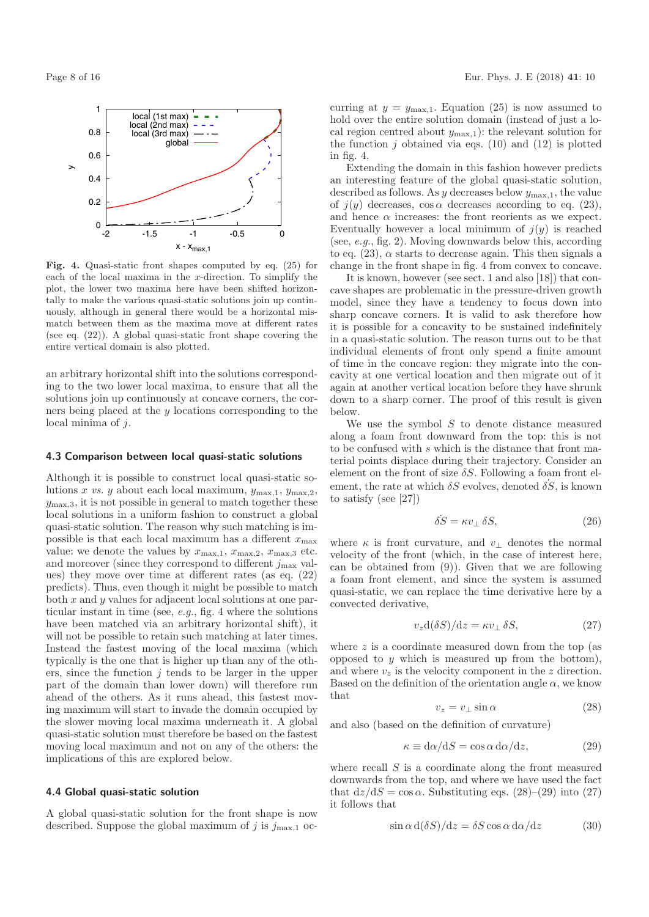

Fig. 4. Quasi-static front shapes computed by eq. (25) for each of the local maxima in the  $x$ -direction. To simplify the plot, the lower two maxima here have been shifted horizontally to make the various quasi-static solutions join up continuously, although in general there would be a horizontal mismatch between them as the maxima move at different rates (see eq. (22)). A global quasi-static front shape covering the entire vertical domain is also plotted.

an arbitrary horizontal shift into the solutions corresponding to the two lower local maxima, to ensure that all the solutions join up continuously at concave corners, the corners being placed at the y locations corresponding to the local minima of  $j$ .

#### 4.3 Comparison between local quasi-static solutions

Although it is possible to construct local quasi-static solutions x vs. y about each local maximum,  $y_{\text{max},1}$ ,  $y_{\text{max},2}$ ,  $y_{\text{max},3}$ , it is not possible in general to match together these local solutions in a uniform fashion to construct a global quasi-static solution. The reason why such matching is impossible is that each local maximum has a different  $x_{\text{max}}$ value: we denote the values by  $x_{\text{max},1}$ ,  $x_{\text{max},2}$ ,  $x_{\text{max},3}$  etc. and moreover (since they correspond to different  $j_{\text{max}}$  values) they move over time at different rates (as eq. (22) predicts). Thus, even though it might be possible to match both  $x$  and  $y$  values for adjacent local solutions at one particular instant in time (see, e.g., fig. 4 where the solutions have been matched via an arbitrary horizontal shift), it will not be possible to retain such matching at later times. Instead the fastest moving of the local maxima (which typically is the one that is higher up than any of the others, since the function  $j$  tends to be larger in the upper part of the domain than lower down) will therefore run ahead of the others. As it runs ahead, this fastest moving maximum will start to invade the domain occupied by the slower moving local maxima underneath it. A global quasi-static solution must therefore be based on the fastest moving local maximum and not on any of the others: the implications of this are explored below.

#### 4.4 Global quasi-static solution

A global quasi-static solution for the front shape is now described. Suppose the global maximum of j is  $j_{\text{max},1}$  occurring at  $y = y_{\text{max},1}$ . Equation (25) is now assumed to hold over the entire solution domain (instead of just a local region centred about  $y_{\text{max},1}$ ): the relevant solution for the function  $j$  obtained via eqs. (10) and (12) is plotted in fig. 4.

Extending the domain in this fashion however predicts an interesting feature of the global quasi-static solution, described as follows. As y decreases below  $y_{\text{max},1}$ , the value of  $j(y)$  decreases, cos  $\alpha$  decreases according to eq. (23), and hence  $\alpha$  increases: the front reorients as we expect. Eventually however a local minimum of  $j(y)$  is reached (see, e.g., fig. 2). Moving downwards below this, according to eq.  $(23)$ ,  $\alpha$  starts to decrease again. This then signals a change in the front shape in fig. 4 from convex to concave.

It is known, however (see sect. 1 and also [18]) that concave shapes are problematic in the pressure-driven growth model, since they have a tendency to focus down into sharp concave corners. It is valid to ask therefore how it is possible for a concavity to be sustained indefinitely in a quasi-static solution. The reason turns out to be that individual elements of front only spend a finite amount of time in the concave region: they migrate into the concavity at one vertical location and then migrate out of it again at another vertical location before they have shrunk down to a sharp corner. The proof of this result is given below.

We use the symbol  $S$  to denote distance measured along a foam front downward from the top: this is not to be confused with s which is the distance that front material points displace during their trajectory. Consider an element on the front of size  $\delta S$ . Following a foam front element, the rate at which  $\delta S$  evolves, denoted  $\dot{\delta}S$ , is known to satisfy (see [27])

$$
\dot{\delta S} = \kappa v_\perp \,\delta S,\tag{26}
$$

where  $\kappa$  is front curvature, and  $v_{\perp}$  denotes the normal velocity of the front (which, in the case of interest here, can be obtained from (9)). Given that we are following a foam front element, and since the system is assumed quasi-static, we can replace the time derivative here by a convected derivative,

$$
v_z \mathbf{d}(\delta S) / \mathbf{d}z = \kappa v_\perp \delta S,\tag{27}
$$

where  $z$  is a coordinate measured down from the top (as opposed to  $y$  which is measured up from the bottom), and where  $v<sub>z</sub>$  is the velocity component in the z direction. Based on the definition of the orientation angle  $\alpha$ , we know that

$$
v_z = v_\perp \sin \alpha \tag{28}
$$

and also (based on the definition of curvature)

$$
\kappa \equiv \mathrm{d}\alpha/\mathrm{d}S = \cos\alpha \,\mathrm{d}\alpha/\mathrm{d}z,\tag{29}
$$

where recall  $S$  is a coordinate along the front measured downwards from the top, and where we have used the fact that  $dz/dS = \cos \alpha$ . Substituting eqs. (28)–(29) into (27) it follows that

$$
\sin \alpha \, d(\delta S) / dz = \delta S \cos \alpha \, d\alpha / dz \tag{30}
$$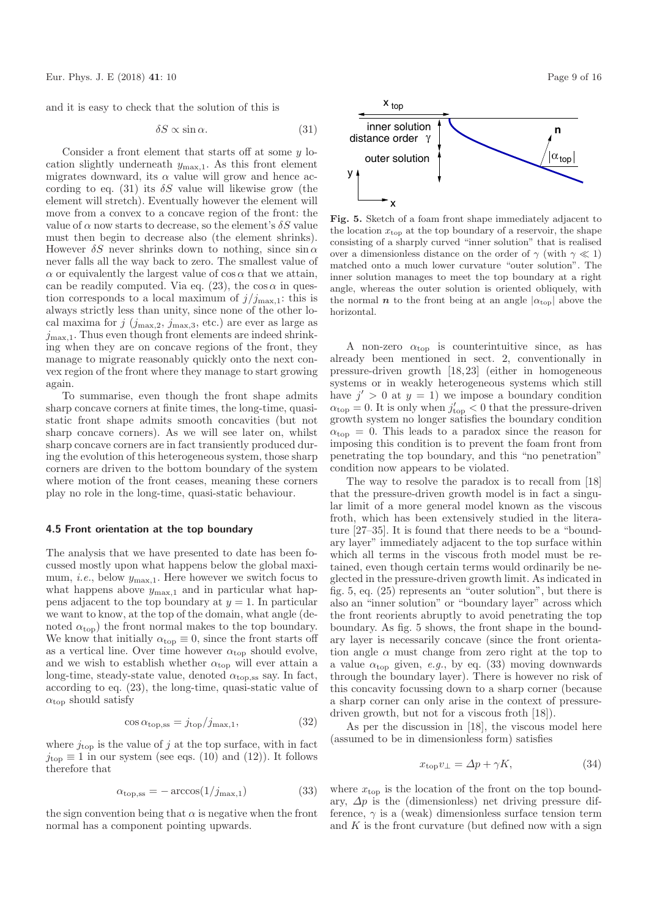and it is easy to check that the solution of this is

$$
\delta S \propto \sin \alpha. \tag{31}
$$

Consider a front element that starts off at some  $y$  location slightly underneath  $y_{\text{max }1}$ . As this front element migrates downward, its  $\alpha$  value will grow and hence according to eq. (31) its  $\delta S$  value will likewise grow (the element will stretch). Eventually however the element will move from a convex to a concave region of the front: the value of  $\alpha$  now starts to decrease, so the element's  $\delta S$  value must then begin to decrease also (the element shrinks). However  $\delta S$  never shrinks down to nothing, since  $\sin \alpha$ never falls all the way back to zero. The smallest value of  $\alpha$  or equivalently the largest value of cos  $\alpha$  that we attain, can be readily computed. Via eq. (23), the  $\cos \alpha$  in question corresponds to a local maximum of  $j/j_{\text{max},1}$ : this is always strictly less than unity, since none of the other local maxima for  $j$  ( $j_{\text{max},2}$ ,  $j_{\text{max},3}$ , etc.) are ever as large as  $j_{\text{max},1}$ . Thus even though front elements are indeed shrinking when they are on concave regions of the front, they manage to migrate reasonably quickly onto the next convex region of the front where they manage to start growing again.

To summarise, even though the front shape admits sharp concave corners at finite times, the long-time, quasistatic front shape admits smooth concavities (but not sharp concave corners). As we will see later on, whilst sharp concave corners are in fact transiently produced during the evolution of this heterogeneous system, those sharp corners are driven to the bottom boundary of the system where motion of the front ceases, meaning these corners play no role in the long-time, quasi-static behaviour.

## 4.5 Front orientation at the top boundary

The analysis that we have presented to date has been focussed mostly upon what happens below the global maximum, *i.e.*, below  $y_{\text{max},1}$ . Here however we switch focus to what happens above  $y_{\text{max},1}$  and in particular what happens adjacent to the top boundary at  $y = 1$ . In particular we want to know, at the top of the domain, what angle (denoted  $\alpha_{\text{top}}$ ) the front normal makes to the top boundary. We know that initially  $\alpha_{\text{top}} \equiv 0$ , since the front starts off as a vertical line. Over time however  $\alpha_{\rm top}$  should evolve, and we wish to establish whether  $\alpha_{\text{top}}$  will ever attain a long-time, steady-state value, denoted  $\alpha_{\rm top, ss}$  say. In fact, according to eq. (23), the long-time, quasi-static value of  $\alpha_{\text{top}}$  should satisfy

$$
\cos \alpha_{\text{top,ss}} = j_{\text{top}}/j_{\text{max},1},\tag{32}
$$

where  $j_{\text{top}}$  is the value of j at the top surface, with in fact  $j_{\text{top}} \equiv 1$  in our system (see eqs. (10) and (12)). It follows therefore that

$$
\alpha_{\text{top,ss}} = -\arccos(1/j_{\text{max},1})\tag{33}
$$

the sign convention being that  $\alpha$  is negative when the front normal has a component pointing upwards.





Fig. 5. Sketch of a foam front shape immediately adjacent to the location  $x_{top}$  at the top boundary of a reservoir, the shape consisting of a sharply curved "inner solution" that is realised over a dimensionless distance on the order of  $\gamma$  (with  $\gamma \ll 1$ ) matched onto a much lower curvature "outer solution". The inner solution manages to meet the top boundary at a right angle, whereas the outer solution is oriented obliquely, with the normal  $n$  to the front being at an angle  $|\alpha_{\text{top}}|$  above the horizontal.

A non-zero  $\alpha_{\text{top}}$  is counterintuitive since, as has already been mentioned in sect. 2, conventionally in pressure-driven growth [18, 23] (either in homogeneous systems or in weakly heterogeneous systems which still have  $j' > 0$  at  $y = 1$ ) we impose a boundary condition  $\alpha_{\text{top}} = 0$ . It is only when  $j'_{\text{top}} < 0$  that the pressure-driven growth system no longer satisfies the boundary condition  $\alpha_{\rm top} = 0$ . This leads to a paradox since the reason for imposing this condition is to prevent the foam front from penetrating the top boundary, and this "no penetration" condition now appears to be violated.

The way to resolve the paradox is to recall from [18] that the pressure-driven growth model is in fact a singular limit of a more general model known as the viscous froth, which has been extensively studied in the literature [27–35]. It is found that there needs to be a "boundary layer" immediately adjacent to the top surface within which all terms in the viscous froth model must be retained, even though certain terms would ordinarily be neglected in the pressure-driven growth limit. As indicated in fig. 5, eq. (25) represents an "outer solution", but there is also an "inner solution" or "boundary layer" across which the front reorients abruptly to avoid penetrating the top boundary. As fig. 5 shows, the front shape in the boundary layer is necessarily concave (since the front orientation angle  $\alpha$  must change from zero right at the top to a value  $\alpha_{\text{top}}$  given, e.g., by eq. (33) moving downwards through the boundary layer). There is however no risk of this concavity focussing down to a sharp corner (because a sharp corner can only arise in the context of pressuredriven growth, but not for a viscous froth [18]).

As per the discussion in [18], the viscous model here (assumed to be in dimensionless form) satisfies

$$
x_{\rm top}v_{\perp} = \Delta p + \gamma K, \tag{34}
$$

where  $x_{top}$  is the location of the front on the top boundary,  $\Delta p$  is the (dimensionless) net driving pressure difference,  $\gamma$  is a (weak) dimensionless surface tension term and  $K$  is the front curvature (but defined now with a sign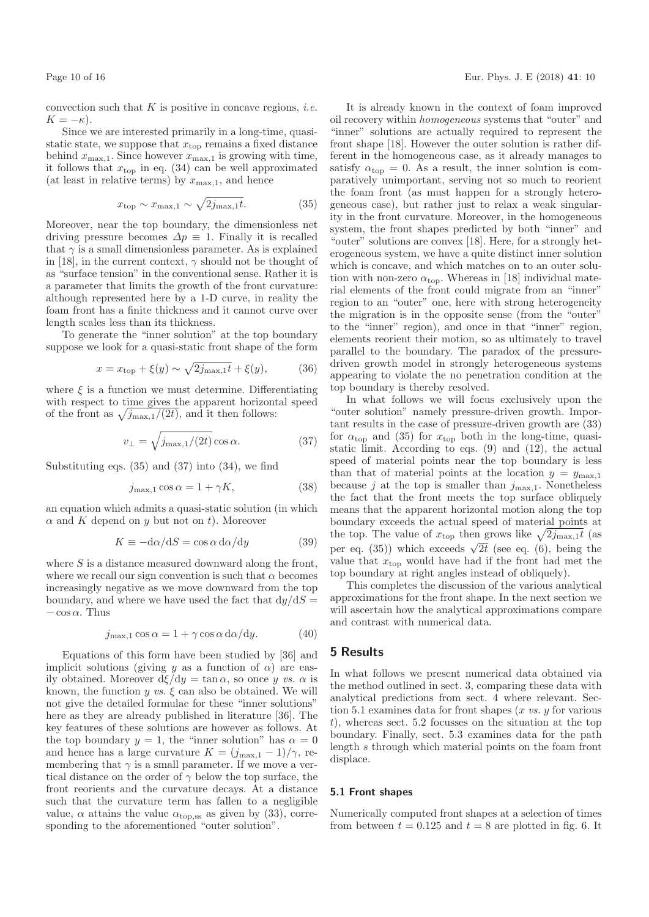convection such that  $K$  is positive in concave regions, *i.e.*  $K = -\kappa$ ).

Since we are interested primarily in a long-time, quasistatic state, we suppose that  $x_{top}$  remains a fixed distance behind  $x_{\text{max},1}$ . Since however  $x_{\text{max},1}$  is growing with time, it follows that  $x_{top}$  in eq. (34) can be well approximated (at least in relative terms) by  $x_{\text{max},1}$ , and hence

$$
x_{\text{top}} \sim x_{\text{max},1} \sim \sqrt{2j_{\text{max},1}t}.\tag{35}
$$

Moreover, near the top boundary, the dimensionless net driving pressure becomes  $\Delta p \equiv 1$ . Finally it is recalled that  $\gamma$  is a small dimensionless parameter. As is explained in [18], in the current context,  $\gamma$  should not be thought of as "surface tension" in the conventional sense. Rather it is a parameter that limits the growth of the front curvature: although represented here by a 1-D curve, in reality the foam front has a finite thickness and it cannot curve over length scales less than its thickness.

To generate the "inner solution" at the top boundary suppose we look for a quasi-static front shape of the form

$$
x = x_{\text{top}} + \xi(y) \sim \sqrt{2j_{\text{max},1}t} + \xi(y),
$$
 (36)

where  $\xi$  is a function we must determine. Differentiating with respect to time gives the apparent horizontal speed of the front as  $\sqrt{j_{\text{max},1}/(2t)}$ , and it then follows:

$$
v_{\perp} = \sqrt{j_{\text{max},1}/(2t)} \cos \alpha. \tag{37}
$$

Substituting eqs.  $(35)$  and  $(37)$  into  $(34)$ , we find

$$
j_{\max,1}\cos\alpha = 1 + \gamma K,\tag{38}
$$

an equation which admits a quasi-static solution (in which  $\alpha$  and K depend on y but not on t). Moreover

$$
K \equiv -\frac{d\alpha}{dS} = \cos\alpha \frac{d\alpha}{dy} \tag{39}
$$

where  $S$  is a distance measured downward along the front, where we recall our sign convention is such that  $\alpha$  becomes increasingly negative as we move downward from the top boundary, and where we have used the fact that  $dy/dS =$  $-\cos \alpha$ . Thus

$$
j_{\max,1}\cos\alpha = 1 + \gamma\cos\alpha \,\mathrm{d}\alpha/\mathrm{d}y.\tag{40}
$$

Equations of this form have been studied by [36] and implicit solutions (giving y as a function of  $\alpha$ ) are easily obtained. Moreover  $d\xi/dy = \tan \alpha$ , so once y vs.  $\alpha$  is known, the function  $y$  vs.  $\xi$  can also be obtained. We will not give the detailed formulae for these "inner solutions" here as they are already published in literature [36]. The key features of these solutions are however as follows. At the top boundary  $y = 1$ , the "inner solution" has  $\alpha = 0$ and hence has a large curvature  $K = (j_{\text{max},1} - 1)/\gamma$ , remembering that  $\gamma$  is a small parameter. If we move a vertical distance on the order of  $\gamma$  below the top surface, the front reorients and the curvature decays. At a distance such that the curvature term has fallen to a negligible value,  $\alpha$  attains the value  $\alpha_{\text{top,ss}}$  as given by (33), corresponding to the aforementioned "outer solution".

It is already known in the context of foam improved oil recovery within homogeneous systems that "outer" and "inner" solutions are actually required to represent the front shape [18]. However the outer solution is rather different in the homogeneous case, as it already manages to satisfy  $\alpha_{\text{top}} = 0$ . As a result, the inner solution is comparatively unimportant, serving not so much to reorient the foam front (as must happen for a strongly heterogeneous case), but rather just to relax a weak singularity in the front curvature. Moreover, in the homogeneous system, the front shapes predicted by both "inner" and "outer" solutions are convex [18]. Here, for a strongly heterogeneous system, we have a quite distinct inner solution which is concave, and which matches on to an outer solution with non-zero  $\alpha_{\rm top}.$  Whereas in [18] individual material elements of the front could migrate from an "inner" region to an "outer" one, here with strong heterogeneity the migration is in the opposite sense (from the "outer" to the "inner" region), and once in that "inner" region, elements reorient their motion, so as ultimately to travel parallel to the boundary. The paradox of the pressuredriven growth model in strongly heterogeneous systems appearing to violate the no penetration condition at the top boundary is thereby resolved.

In what follows we will focus exclusively upon the "outer solution" namely pressure-driven growth. Important results in the case of pressure-driven growth are (33) for  $\alpha_{\text{top}}$  and (35) for  $x_{\text{top}}$  both in the long-time, quasistatic limit. According to eqs. (9) and (12), the actual speed of material points near the top boundary is less than that of material points at the location  $y = y_{\text{max},1}$ because j at the top is smaller than  $j_{\text{max},1}$ . Nonetheless the fact that the front meets the top surface obliquely means that the apparent horizontal motion along the top boundary exceeds the actual speed of material points at the top. The value of  $x_{\text{top}}$  then grows like  $\sqrt{2j_{\text{max},1}t}$  (as per eq. (35)) which exceeds  $\sqrt{2t}$  (see eq. (6), being the value that  $x_{\text{top}}$  would have had if the front had met the top boundary at right angles instead of obliquely).

This completes the discussion of the various analytical approximations for the front shape. In the next section we will ascertain how the analytical approximations compare and contrast with numerical data.

## 5 Results

In what follows we present numerical data obtained via the method outlined in sect. 3, comparing these data with analytical predictions from sect. 4 where relevant. Section 5.1 examines data for front shapes (x vs.  $y$  for various t), whereas sect. 5.2 focusses on the situation at the top boundary. Finally, sect. 5.3 examines data for the path length s through which material points on the foam front displace.

#### 5.1 Front shapes

Numerically computed front shapes at a selection of times from between  $t = 0.125$  and  $t = 8$  are plotted in fig. 6. It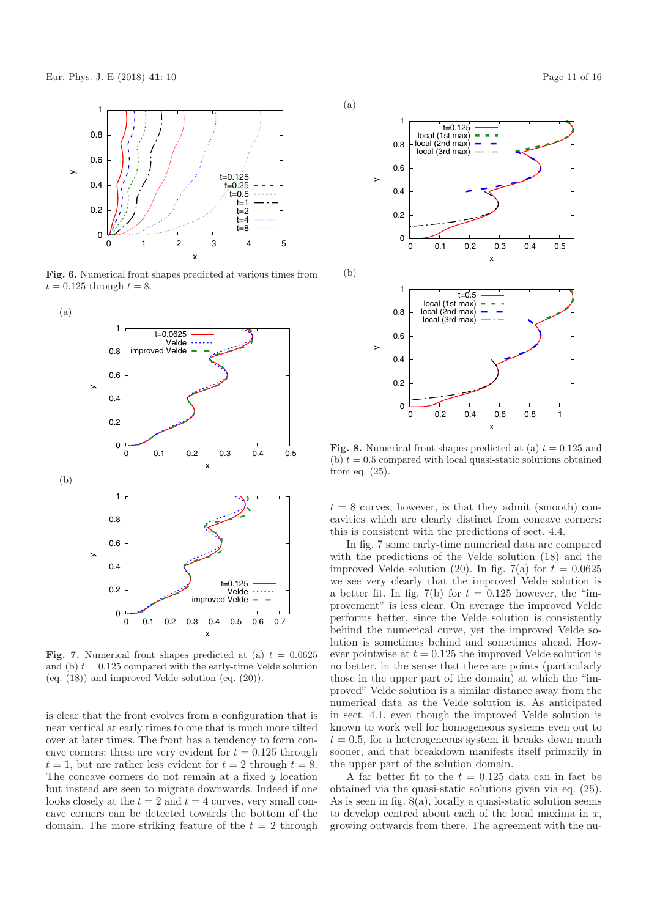

Fig. 6. Numerical front shapes predicted at various times from  $t = 0.125$  through  $t = 8$ .



Fig. 7. Numerical front shapes predicted at (a)  $t = 0.0625$ and (b)  $t = 0.125$  compared with the early-time Velde solution (eq.  $(18)$ ) and improved Velde solution (eq.  $(20)$ ).

is clear that the front evolves from a configuration that is near vertical at early times to one that is much more tilted over at later times. The front has a tendency to form concave corners: these are very evident for  $t = 0.125$  through  $t = 1$ , but are rather less evident for  $t = 2$  through  $t = 8$ . The concave corners do not remain at a fixed  $y$  location but instead are seen to migrate downwards. Indeed if one looks closely at the  $t = 2$  and  $t = 4$  curves, very small concave corners can be detected towards the bottom of the domain. The more striking feature of the  $t = 2$  through



Fig. 8. Numerical front shapes predicted at (a)  $t = 0.125$  and (b)  $t = 0.5$  compared with local quasi-static solutions obtained from eq. (25).

 $t = 8$  curves, however, is that they admit (smooth) concavities which are clearly distinct from concave corners: this is consistent with the predictions of sect. 4.4.

In fig. 7 some early-time numerical data are compared with the predictions of the Velde solution (18) and the improved Velde solution (20). In fig. 7(a) for  $t = 0.0625$ we see very clearly that the improved Velde solution is a better fit. In fig. 7(b) for  $t = 0.125$  however, the "improvement" is less clear. On average the improved Velde performs better, since the Velde solution is consistently behind the numerical curve, yet the improved Velde solution is sometimes behind and sometimes ahead. However pointwise at  $t = 0.125$  the improved Velde solution is no better, in the sense that there are points (particularly those in the upper part of the domain) at which the "improved" Velde solution is a similar distance away from the numerical data as the Velde solution is. As anticipated in sect. 4.1, even though the improved Velde solution is known to work well for homogeneous systems even out to  $t = 0.5$ , for a heterogeneous system it breaks down much sooner, and that breakdown manifests itself primarily in the upper part of the solution domain.

A far better fit to the  $t = 0.125$  data can in fact be obtained via the quasi-static solutions given via eq. (25). As is seen in fig. 8(a), locally a quasi-static solution seems to develop centred about each of the local maxima in  $x$ , growing outwards from there. The agreement with the nu-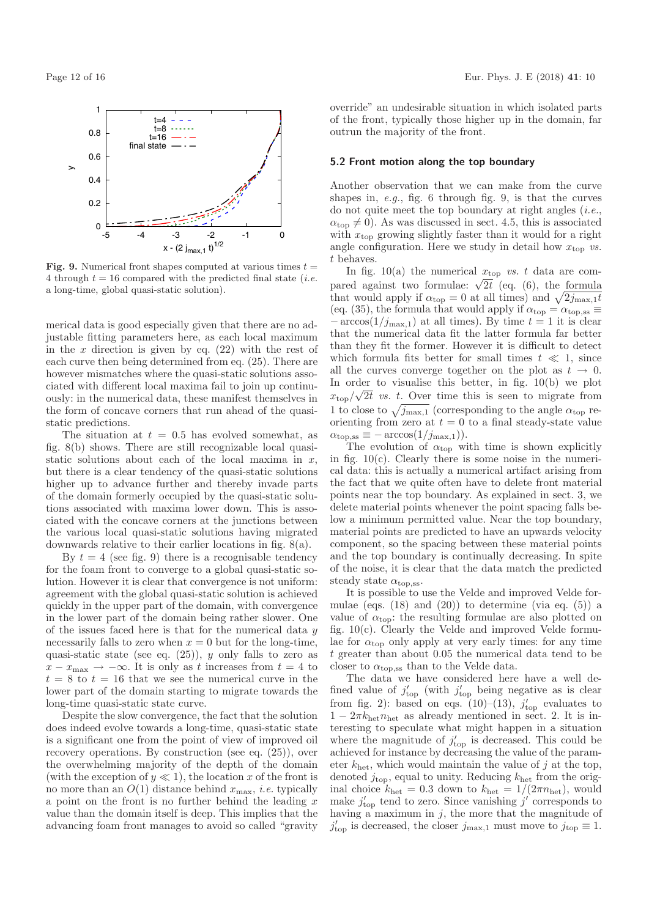

Fig. 9. Numerical front shapes computed at various times  $t =$ 4 through  $t = 16$  compared with the predicted final state (*i.e.* a long-time, global quasi-static solution).

merical data is good especially given that there are no adjustable fitting parameters here, as each local maximum in the  $x$  direction is given by eq.  $(22)$  with the rest of each curve then being determined from eq. (25). There are however mismatches where the quasi-static solutions associated with different local maxima fail to join up continuously: in the numerical data, these manifest themselves in the form of concave corners that run ahead of the quasistatic predictions.

The situation at  $t = 0.5$  has evolved somewhat, as fig. 8(b) shows. There are still recognizable local quasistatic solutions about each of the local maxima in  $x$ , but there is a clear tendency of the quasi-static solutions higher up to advance further and thereby invade parts of the domain formerly occupied by the quasi-static solutions associated with maxima lower down. This is associated with the concave corners at the junctions between the various local quasi-static solutions having migrated downwards relative to their earlier locations in fig. 8(a).

By  $t = 4$  (see fig. 9) there is a recognisable tendency for the foam front to converge to a global quasi-static solution. However it is clear that convergence is not uniform: agreement with the global quasi-static solution is achieved quickly in the upper part of the domain, with convergence in the lower part of the domain being rather slower. One of the issues faced here is that for the numerical data  $y$ necessarily falls to zero when  $x = 0$  but for the long-time, quasi-static state (see eq.  $(25)$ ), y only falls to zero as  $x - x_{\text{max}} \rightarrow -\infty$ . It is only as t increases from  $t = 4$  to  $t = 8$  to  $t = 16$  that we see the numerical curve in the lower part of the domain starting to migrate towards the long-time quasi-static state curve.

Despite the slow convergence, the fact that the solution does indeed evolve towards a long-time, quasi-static state is a significant one from the point of view of improved oil recovery operations. By construction (see eq. (25)), over the overwhelming majority of the depth of the domain (with the exception of  $y \ll 1$ ), the location x of the front is no more than an  $O(1)$  distance behind  $x_{\text{max}}$ , *i.e.* typically a point on the front is no further behind the leading  $x$ value than the domain itself is deep. This implies that the advancing foam front manages to avoid so called "gravity

override" an undesirable situation in which isolated parts of the front, typically those higher up in the domain, far outrun the majority of the front.

#### 5.2 Front motion along the top boundary

Another observation that we can make from the curve shapes in,  $e.g.,$  fig. 6 through fig. 9, is that the curves do not quite meet the top boundary at right angles  $(i.e.,$  $\alpha_{\text{top}} \neq 0$ . As was discussed in sect. 4.5, this is associated with  $x_{\text{top}}$  growing slightly faster than it would for a right angle configuration. Here we study in detail how  $x_{\text{top}}$  vs. t behaves.

In fig. 10(a) the numerical  $x_{top}$  vs. t data are compared against two formulae:  $\sqrt{2t}$  (eq. (6), the formula that would apply if  $\alpha_{\text{top}} = 0$  at all times) and  $\sqrt{2j_{\text{max},1}}t$ (eq. (35), the formula that would apply if  $\alpha_{\rm top} = \alpha_{\rm top, ss} \equiv$  $-\arccos\left(\frac{1}{j_{\text{max},1}}\right)$  at all times). By time  $t=1$  it is clear that the numerical data fit the latter formula far better than they fit the former. However it is difficult to detect which formula fits better for small times  $t \ll 1$ , since all the curves converge together on the plot as  $t \to 0$ . In order to visualise this better, in fig. 10(b) we plot  $x_{\text{top}}/\sqrt{2t}$  vs. t. Over time this is seen to migrate from 1 to close to  $\sqrt{j_{\text{max},1}}$  (corresponding to the angle  $\alpha_{\text{top}}$  reorienting from zero at  $t = 0$  to a final steady-state value  $\alpha_{\text{top,ss}} \equiv -\arccos(1/j_{\text{max},1})).$ 

The evolution of  $\alpha_{\text{top}}$  with time is shown explicitly in fig.  $10(c)$ . Clearly there is some noise in the numerical data: this is actually a numerical artifact arising from the fact that we quite often have to delete front material points near the top boundary. As explained in sect. 3, we delete material points whenever the point spacing falls below a minimum permitted value. Near the top boundary, material points are predicted to have an upwards velocity component, so the spacing between these material points and the top boundary is continually decreasing. In spite of the noise, it is clear that the data match the predicted steady state  $\alpha_{\text{top,ss}}$ .

It is possible to use the Velde and improved Velde formulae (eqs.  $(18)$  and  $(20)$ ) to determine (via eq.  $(5)$ ) a value of  $\alpha_{\text{top}}$ : the resulting formulae are also plotted on fig.  $10(c)$ . Clearly the Velde and improved Velde formulae for  $\alpha_{\text{top}}$  only apply at very early times: for any time t greater than about 0.05 the numerical data tend to be closer to  $\alpha_{\text{top,ss}}$  than to the Velde data.

The data we have considered here have a well defined value of  $j'_{\text{top}}$  (with  $j'_{\text{top}}$  being negative as is clear from fig. 2): based on eqs. (10)–(13),  $j'_{\text{top}}$  evaluates to  $1 - 2\pi k_{\text{het}} n_{\text{het}}$  as already mentioned in sect. 2. It is interesting to speculate what might happen in a situation where the magnitude of  $j'_{top}$  is decreased. This could be achieved for instance by decreasing the value of the parameter  $k_{\text{het}}$ , which would maintain the value of j at the top, denoted  $j_{\text{top}}$ , equal to unity. Reducing  $k_{\text{het}}$  from the original choice  $k_{\text{het}} = 0.3$  down to  $k_{\text{het}} = 1/(2\pi n_{\text{het}})$ , would make  $j'_{\text{top}}$  tend to zero. Since vanishing  $j'$  corresponds to having a maximum in  $j$ , the more that the magnitude of  $j'_{\text{top}}$  is decreased, the closer  $j_{\text{max},1}$  must move to  $j_{\text{top}} \equiv 1$ .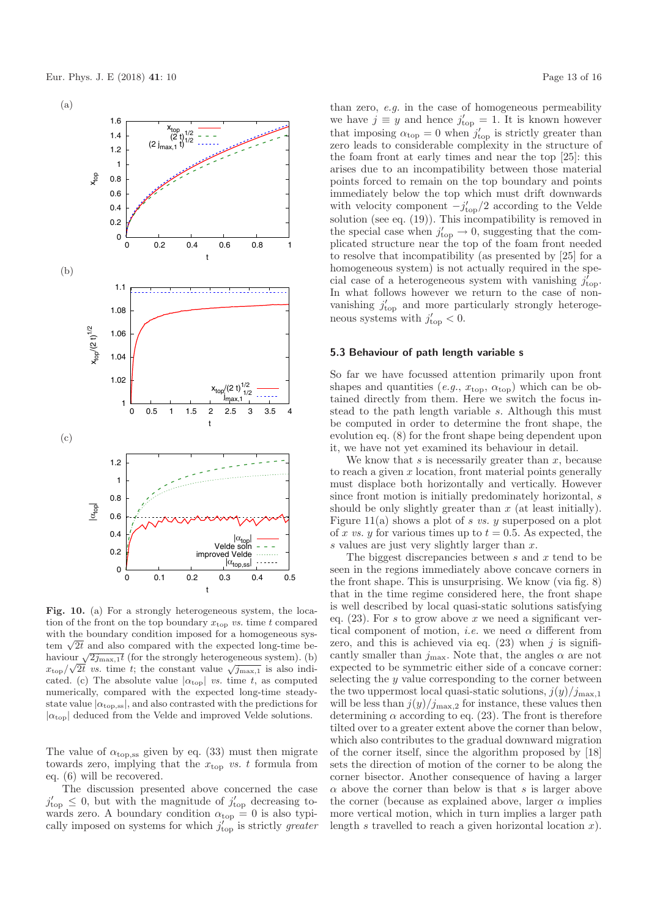

Fig. 10. (a) For a strongly heterogeneous system, the location of the front on the top boundary  $x_{top}$  vs. time t compared with the boundary condition imposed for a homogeneous sys- $\frac{1}{\sqrt{2t}}$  and also compared with the expected long-time behaviour  $\sqrt{2j_{\text{max},1}t}$  (for the strongly heterogeneous system). (b)  $x_{\text{top}}/\sqrt{2t}$  vs. time t; the constant value  $\sqrt{j_{\text{max},1}}$  is also indicated. (c) The absolute value  $|\alpha_{\text{top}}|$  vs. time t, as computed numerically, compared with the expected long-time steadystate value  $|\alpha_{\text{top,ss}}|$ , and also contrasted with the predictions for  $|\alpha_{\text{top}}|$  deduced from the Velde and improved Velde solutions.

The value of  $\alpha_{\text{top,ss}}$  given by eq. (33) must then migrate towards zero, implying that the  $x_{top}$  vs. t formula from eq. (6) will be recovered.

The discussion presented above concerned the case  $j'_{\text{top}} \leq 0$ , but with the magnitude of  $j'_{\text{top}}$  decreasing towards zero. A boundary condition  $\alpha_{\text{top}} = 0$  is also typically imposed on systems for which  $j'_{\text{top}}$  is strictly greater than zero, e.g. in the case of homogeneous permeability we have  $j \equiv y$  and hence  $j'_{\text{top}} = 1$ . It is known however that imposing  $\alpha_{\text{top}} = 0$  when  $j'_{\text{top}}$  is strictly greater than zero leads to considerable complexity in the structure of the foam front at early times and near the top [25]: this arises due to an incompatibility between those material points forced to remain on the top boundary and points immediately below the top which must drift downwards with velocity component  $-j'_{\text{top}}/2$  according to the Velde solution (see eq. (19)). This incompatibility is removed in the special case when  $j'_{top} \rightarrow 0$ , suggesting that the complicated structure near the top of the foam front needed to resolve that incompatibility (as presented by [25] for a homogeneous system) is not actually required in the special case of a heterogeneous system with vanishing  $j'_{\text{top}}$ . In what follows however we return to the case of non-

#### 5.3 Behaviour of path length variable s

neous systems with  $j'_{\text{top}} < 0$ .

So far we have focussed attention primarily upon front shapes and quantities  $(e.g., x_{\text{top}}, \alpha_{\text{top}})$  which can be obtained directly from them. Here we switch the focus instead to the path length variable s. Although this must be computed in order to determine the front shape, the evolution eq. (8) for the front shape being dependent upon it, we have not yet examined its behaviour in detail.

vanishing  $j'_{\text{top}}$  and more particularly strongly heteroge-

We know that  $s$  is necessarily greater than  $x$ , because to reach a given  $x$  location, front material points generally must displace both horizontally and vertically. However since front motion is initially predominately horizontal, s should be only slightly greater than  $x$  (at least initially). Figure 11(a) shows a plot of s vs. y superposed on a plot of x vs. y for various times up to  $t = 0.5$ . As expected, the s values are just very slightly larger than  $x$ .

The biggest discrepancies between  $s$  and  $x$  tend to be seen in the regions immediately above concave corners in the front shape. This is unsurprising. We know (via fig. 8) that in the time regime considered here, the front shape is well described by local quasi-static solutions satisfying eq.  $(23)$ . For s to grow above x we need a significant vertical component of motion, *i.e.* we need  $\alpha$  different from zero, and this is achieved via eq.  $(23)$  when j is significantly smaller than  $j_{\text{max}}$ . Note that, the angles  $\alpha$  are not expected to be symmetric either side of a concave corner: selecting the  $y$  value corresponding to the corner between the two uppermost local quasi-static solutions,  $j(y)/j_{\text{max},1}$ will be less than  $j(y)/j_{\text{max},2}$  for instance, these values then determining  $\alpha$  according to eq. (23). The front is therefore tilted over to a greater extent above the corner than below, which also contributes to the gradual downward migration of the corner itself, since the algorithm proposed by [18] sets the direction of motion of the corner to be along the corner bisector. Another consequence of having a larger  $\alpha$  above the corner than below is that s is larger above the corner (because as explained above, larger  $\alpha$  implies more vertical motion, which in turn implies a larger path length s travelled to reach a given horizontal location  $x$ ).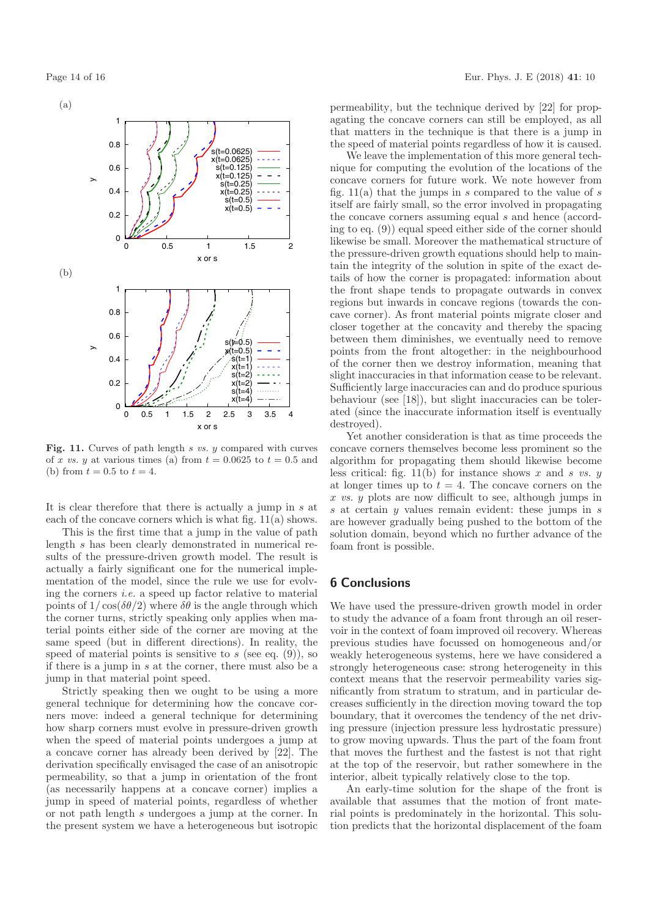

Fig. 11. Curves of path length s vs. y compared with curves of x vs. y at various times (a) from  $t = 0.0625$  to  $t = 0.5$  and (b) from  $t = 0.5$  to  $t = 4$ .

It is clear therefore that there is actually a jump in s at each of the concave corners which is what fig. 11(a) shows.

This is the first time that a jump in the value of path length s has been clearly demonstrated in numerical results of the pressure-driven growth model. The result is actually a fairly significant one for the numerical implementation of the model, since the rule we use for evolving the corners i.e. a speed up factor relative to material points of  $1/\cos(\delta\theta/2)$  where  $\delta\theta$  is the angle through which the corner turns, strictly speaking only applies when material points either side of the corner are moving at the same speed (but in different directions). In reality, the speed of material points is sensitive to s (see eq.  $(9)$ ), so if there is a jump in s at the corner, there must also be a jump in that material point speed.

Strictly speaking then we ought to be using a more general technique for determining how the concave corners move: indeed a general technique for determining how sharp corners must evolve in pressure-driven growth when the speed of material points undergoes a jump at a concave corner has already been derived by [22]. The derivation specifically envisaged the case of an anisotropic permeability, so that a jump in orientation of the front (as necessarily happens at a concave corner) implies a jump in speed of material points, regardless of whether or not path length s undergoes a jump at the corner. In the present system we have a heterogeneous but isotropic

permeability, but the technique derived by [22] for propagating the concave corners can still be employed, as all that matters in the technique is that there is a jump in the speed of material points regardless of how it is caused.

We leave the implementation of this more general technique for computing the evolution of the locations of the concave corners for future work. We note however from fig. 11(a) that the jumps in s compared to the value of s itself are fairly small, so the error involved in propagating the concave corners assuming equal s and hence (according to eq. (9)) equal speed either side of the corner should likewise be small. Moreover the mathematical structure of the pressure-driven growth equations should help to maintain the integrity of the solution in spite of the exact details of how the corner is propagated: information about the front shape tends to propagate outwards in convex regions but inwards in concave regions (towards the concave corner). As front material points migrate closer and closer together at the concavity and thereby the spacing between them diminishes, we eventually need to remove points from the front altogether: in the neighbourhood of the corner then we destroy information, meaning that slight inaccuracies in that information cease to be relevant. Sufficiently large inaccuracies can and do produce spurious behaviour (see [18]), but slight inaccuracies can be tolerated (since the inaccurate information itself is eventually destroyed).

Yet another consideration is that as time proceeds the concave corners themselves become less prominent so the algorithm for propagating them should likewise become less critical: fig. 11(b) for instance shows x and s vs. y at longer times up to  $t = 4$ . The concave corners on the x vs. y plots are now difficult to see, although jumps in s at certain  $\alpha$  values remain evident: these jumps in s are however gradually being pushed to the bottom of the solution domain, beyond which no further advance of the foam front is possible.

# 6 Conclusions

We have used the pressure-driven growth model in order to study the advance of a foam front through an oil reservoir in the context of foam improved oil recovery. Whereas previous studies have focussed on homogeneous and/or weakly heterogeneous systems, here we have considered a strongly heterogeneous case: strong heterogeneity in this context means that the reservoir permeability varies significantly from stratum to stratum, and in particular decreases sufficiently in the direction moving toward the top boundary, that it overcomes the tendency of the net driving pressure (injection pressure less hydrostatic pressure) to grow moving upwards. Thus the part of the foam front that moves the furthest and the fastest is not that right at the top of the reservoir, but rather somewhere in the interior, albeit typically relatively close to the top.

An early-time solution for the shape of the front is available that assumes that the motion of front material points is predominately in the horizontal. This solution predicts that the horizontal displacement of the foam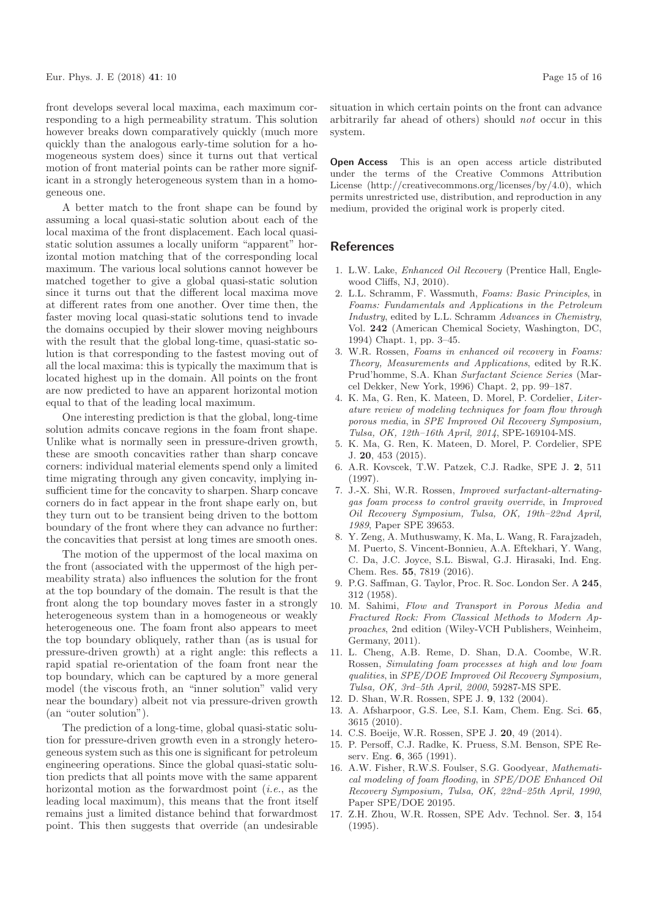front develops several local maxima, each maximum corresponding to a high permeability stratum. This solution however breaks down comparatively quickly (much more quickly than the analogous early-time solution for a homogeneous system does) since it turns out that vertical motion of front material points can be rather more significant in a strongly heterogeneous system than in a homogeneous one.

A better match to the front shape can be found by assuming a local quasi-static solution about each of the local maxima of the front displacement. Each local quasistatic solution assumes a locally uniform "apparent" horizontal motion matching that of the corresponding local maximum. The various local solutions cannot however be matched together to give a global quasi-static solution since it turns out that the different local maxima move at different rates from one another. Over time then, the faster moving local quasi-static solutions tend to invade the domains occupied by their slower moving neighbours with the result that the global long-time, quasi-static solution is that corresponding to the fastest moving out of all the local maxima: this is typically the maximum that is located highest up in the domain. All points on the front are now predicted to have an apparent horizontal motion equal to that of the leading local maximum.

One interesting prediction is that the global, long-time solution admits concave regions in the foam front shape. Unlike what is normally seen in pressure-driven growth, these are smooth concavities rather than sharp concave corners: individual material elements spend only a limited time migrating through any given concavity, implying insufficient time for the concavity to sharpen. Sharp concave corners do in fact appear in the front shape early on, but they turn out to be transient being driven to the bottom boundary of the front where they can advance no further: the concavities that persist at long times are smooth ones.

The motion of the uppermost of the local maxima on the front (associated with the uppermost of the high permeability strata) also influences the solution for the front at the top boundary of the domain. The result is that the front along the top boundary moves faster in a strongly heterogeneous system than in a homogeneous or weakly heterogeneous one. The foam front also appears to meet the top boundary obliquely, rather than (as is usual for pressure-driven growth) at a right angle: this reflects a rapid spatial re-orientation of the foam front near the top boundary, which can be captured by a more general model (the viscous froth, an "inner solution" valid very near the boundary) albeit not via pressure-driven growth (an "outer solution").

The prediction of a long-time, global quasi-static solution for pressure-driven growth even in a strongly heterogeneous system such as this one is significant for petroleum engineering operations. Since the global quasi-static solution predicts that all points move with the same apparent horizontal motion as the forwardmost point (i.e., as the leading local maximum), this means that the front itself remains just a limited distance behind that forwardmost point. This then suggests that override (an undesirable

situation in which certain points on the front can advance arbitrarily far ahead of others) should not occur in this system.

Open Access This is an open access article distributed under the terms of the Creative Commons Attribution License (http://creativecommons.org/licenses/by/4.0), which permits unrestricted use, distribution, and reproduction in any medium, provided the original work is properly cited.

## References

- 1. L.W. Lake, Enhanced Oil Recovery (Prentice Hall, Englewood Cliffs, NJ, 2010).
- 2. L.L. Schramm, F. Wassmuth, Foams: Basic Principles, in Foams: Fundamentals and Applications in the Petroleum Industry, edited by L.L. Schramm Advances in Chemistry, Vol. 242 (American Chemical Society, Washington, DC, 1994) Chapt. 1, pp. 3–45.
- 3. W.R. Rossen, Foams in enhanced oil recovery in Foams: Theory, Measurements and Applications, edited by R.K. Prud'homme, S.A. Khan Surfactant Science Series (Marcel Dekker, New York, 1996) Chapt. 2, pp. 99–187.
- 4. K. Ma, G. Ren, K. Mateen, D. Morel, P. Cordelier, Literature review of modeling techniques for foam flow through porous media, in SPE Improved Oil Recovery Symposium, Tulsa, OK, 12th–16th April, 2014, SPE-169104-MS.
- 5. K. Ma, G. Ren, K. Mateen, D. Morel, P. Cordelier, SPE J. 20, 453 (2015).
- 6. A.R. Kovscek, T.W. Patzek, C.J. Radke, SPE J. 2, 511 (1997).
- 7. J.-X. Shi, W.R. Rossen, Improved surfactant-alternatinggas foam process to control gravity override, in Improved Oil Recovery Symposium, Tulsa, OK, 19th–22nd April, 1989, Paper SPE 39653.
- 8. Y. Zeng, A. Muthuswamy, K. Ma, L. Wang, R. Farajzadeh, M. Puerto, S. Vincent-Bonnieu, A.A. Eftekhari, Y. Wang, C. Da, J.C. Joyce, S.L. Biswal, G.J. Hirasaki, Ind. Eng. Chem. Res. 55, 7819 (2016).
- 9. P.G. Saffman, G. Taylor, Proc. R. Soc. London Ser. A 245, 312 (1958).
- 10. M. Sahimi, Flow and Transport in Porous Media and Fractured Rock: From Classical Methods to Modern Approaches, 2nd edition (Wiley-VCH Publishers, Weinheim, Germany, 2011).
- 11. L. Cheng, A.B. Reme, D. Shan, D.A. Coombe, W.R. Rossen, Simulating foam processes at high and low foam qualities, in SPE/DOE Improved Oil Recovery Symposium, Tulsa, OK, 3rd–5th April, 2000, 59287-MS SPE.
- 12. D. Shan, W.R. Rossen, SPE J. 9, 132 (2004).
- 13. A. Afsharpoor, G.S. Lee, S.I. Kam, Chem. Eng. Sci. 65, 3615 (2010).
- 14. C.S. Boeije, W.R. Rossen, SPE J. 20, 49 (2014).
- 15. P. Persoff, C.J. Radke, K. Pruess, S.M. Benson, SPE Reserv. Eng. 6, 365 (1991).
- 16. A.W. Fisher, R.W.S. Foulser, S.G. Goodyear, Mathematical modeling of foam flooding, in SPE/DOE Enhanced Oil Recovery Symposium, Tulsa, OK, 22nd–25th April, 1990, Paper SPE/DOE 20195.
- 17. Z.H. Zhou, W.R. Rossen, SPE Adv. Technol. Ser. 3, 154  $(1995)$ .